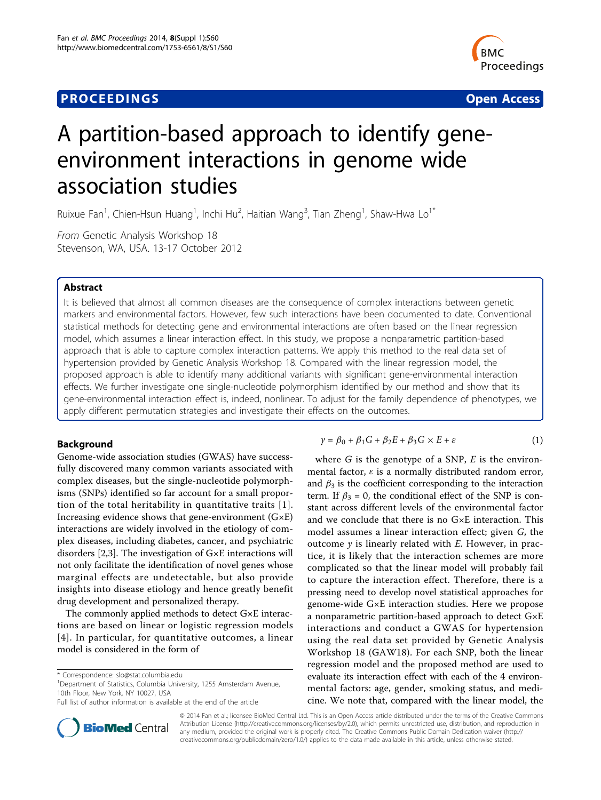# **PROCEEDINGS SECURE 2018 12:00 SECURE 2018 12:00 SECURE 2019 12:00 SECURE 2019 12:00 SECURE 2019 12:00 SECURE 30 SECURE 2019 12:00 SECURE 2019 12:00 SECURE 2019 12:00 SECURE 2019 12:00 SECURE 2019 12:00 SECURE 2019 12:00**



# A partition-based approach to identify geneenvironment interactions in genome wide association studies

Ruixue Fan<sup>1</sup>, Chien-Hsun Huang<sup>1</sup>, Inchi Hu<sup>2</sup>, Haitian Wang<sup>3</sup>, Tian Zheng<sup>1</sup>, Shaw-Hwa Lo<sup>1\*</sup>

From Genetic Analysis Workshop 18 Stevenson, WA, USA. 13-17 October 2012

### Abstract

It is believed that almost all common diseases are the consequence of complex interactions between genetic markers and environmental factors. However, few such interactions have been documented to date. Conventional statistical methods for detecting gene and environmental interactions are often based on the linear regression model, which assumes a linear interaction effect. In this study, we propose a nonparametric partition-based approach that is able to capture complex interaction patterns. We apply this method to the real data set of hypertension provided by Genetic Analysis Workshop 18. Compared with the linear regression model, the proposed approach is able to identify many additional variants with significant gene-environmental interaction effects. We further investigate one single-nucleotide polymorphism identified by our method and show that its gene-environmental interaction effect is, indeed, nonlinear. To adjust for the family dependence of phenotypes, we apply different permutation strategies and investigate their effects on the outcomes.

# Background

Genome-wide association studies (GWAS) have successfully discovered many common variants associated with complex diseases, but the single-nucleotide polymorphisms (SNPs) identified so far account for a small proportion of the total heritability in quantitative traits [[1\]](#page-4-0). Increasing evidence shows that gene-environment  $(G \times E)$ interactions are widely involved in the etiology of complex diseases, including diabetes, cancer, and psychiatric disorders [[2,3\]](#page-4-0). The investigation of G×E interactions will not only facilitate the identification of novel genes whose marginal effects are undetectable, but also provide insights into disease etiology and hence greatly benefit drug development and personalized therapy.

The commonly applied methods to detect G×E interactions are based on linear or logistic regression models [[4\]](#page-4-0). In particular, for quantitative outcomes, a linear model is considered in the form of

<sup>1</sup>Department of Statistics, Columbia University, 1255 Amsterdam Avenue, 10th Floor, New York, NY 10027, USA



where  $G$  is the genotype of a SNP,  $E$  is the environmental factor,  $\varepsilon$  is a normally distributed random error, and  $\beta_3$  is the coefficient corresponding to the interaction term. If  $\beta_3 = 0$ , the conditional effect of the SNP is constant across different levels of the environmental factor and we conclude that there is no G×E interaction. This model assumes a linear interaction effect; given G, the outcome  $y$  is linearly related with  $E$ . However, in practice, it is likely that the interaction schemes are more complicated so that the linear model will probably fail to capture the interaction effect. Therefore, there is a pressing need to develop novel statistical approaches for genome-wide G×E interaction studies. Here we propose a nonparametric partition-based approach to detect G×E interactions and conduct a GWAS for hypertension using the real data set provided by Genetic Analysis Workshop 18 (GAW18). For each SNP, both the linear regression model and the proposed method are used to evaluate its interaction effect with each of the 4 environmental factors: age, gender, smoking status, and medicine. We note that, compared with the linear model, the



© 2014 Fan et al.; licensee BioMed Central Ltd. This is an Open Access article distributed under the terms of the Creative Commons Attribution License [\(http://creativecommons.org/licenses/by/2.0](http://creativecommons.org/licenses/by/2.0)), which permits unrestricted use, distribution, and reproduction in any medium, provided the original work is properly cited. The Creative Commons Public Domain Dedication waiver [\(http://](http://creativecommons.org/publicdomain/zero/1.0/) [creativecommons.org/publicdomain/zero/1.0/](http://creativecommons.org/publicdomain/zero/1.0/)) applies to the data made available in this article, unless otherwise stated.

<sup>\*</sup> Correspondence: [slo@stat.columbia.edu](mailto:slo@stat.columbia.edu)

Full list of author information is available at the end of the article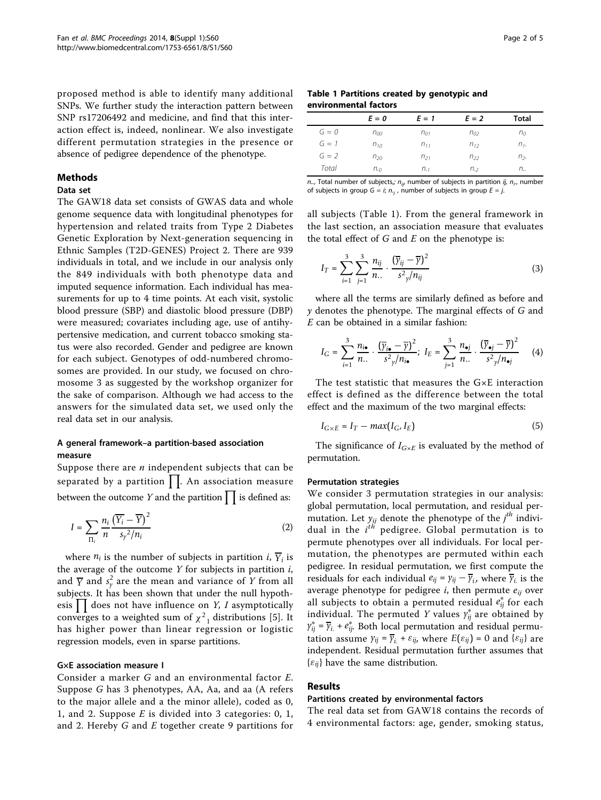proposed method is able to identify many additional SNPs. We further study the interaction pattern between SNP rs17206492 and medicine, and find that this interaction effect is, indeed, nonlinear. We also investigate different permutation strategies in the presence or absence of pedigree dependence of the phenotype.

#### Methods

# Data set

The GAW18 data set consists of GWAS data and whole genome sequence data with longitudinal phenotypes for hypertension and related traits from Type 2 Diabetes Genetic Exploration by Next-generation sequencing in Ethnic Samples (T2D-GENES) Project 2. There are 939 individuals in total, and we include in our analysis only the 849 individuals with both phenotype data and imputed sequence information. Each individual has measurements for up to 4 time points. At each visit, systolic blood pressure (SBP) and diastolic blood pressure (DBP) were measured; covariates including age, use of antihypertensive medication, and current tobacco smoking status were also recorded. Gender and pedigree are known for each subject. Genotypes of odd-numbered chromosomes are provided. In our study, we focused on chromosome 3 as suggested by the workshop organizer for the sake of comparison. Although we had access to the answers for the simulated data set, we used only the real data set in our analysis.

# A general framework–a partition-based association measure

Suppose there are  $n$  independent subjects that can be separated by a partition  $\prod$ . An association measure between the outcome Y and the partition  $\prod$  is defined as:

$$
I = \sum_{\Pi_i} \frac{n_i}{n} \frac{\left(\overline{Y_i} - \overline{Y}\right)^2}{s_y^2/n_i} \tag{2}
$$

where  $n_i$  is the number of subjects in partition  $i$ ,  $\overline{Y}_i$  is the average of the outcome  $Y$  for subjects in partition  $i$ , and  $\overline{Y}$  and  $s_y^2$  are the mean and variance of Y from all<br>subjects. It has been shown that under the null bypothsubjects. It has been shown that under the null hypothesis  $\prod$  does not have influence on Y, I asymptotically<br>converges to a weighted sum of  $x^2$  distributions [5]. It converges to a weighted sum of  $\chi^2$ <sub>1</sub> distributions [\[5](#page-4-0)]. It has higher power than linear regression or logistic regression models, even in sparse partitions.

#### G×E association measure I

Consider a marker G and an environmental factor E. Suppose G has 3 phenotypes, AA, Aa, and aa (A refers to the major allele and a the minor allele), coded as 0, 1, and 2. Suppose E is divided into 3 categories: 0, 1, and 2. Hereby  $G$  and  $E$  together create 9 partitions for

#### Table 1 Partitions created by genotypic and environmental factors

|         | $E = 0$       | $E = 1$     | $E = 2$  | Total          |
|---------|---------------|-------------|----------|----------------|
| $G=0$   | $n_{00}$      | $n_{01}$    | $n_{02}$ | n <sub>0</sub> |
| $G = 1$ | $n_{10}$      | $n_{11}$    | $n_{12}$ | $n1$ .         |
| $G = 2$ | $n_{20}$      | $n_{21}$    | $n_{22}$ | n <sub>2</sub> |
| Total   | $n_{\cdot 0}$ | $n_{\cdot}$ | $n_{.2}$ | $n_{\cdot}$    |

n.., Total number of subjects,;  $n_{ij}$ , number of subjects in partition ij,  $n_{i}$ , number of subjects in group  $G=i; n, j$ , number of subjects in group  $E=j$ .

all subjects (Table 1). From the general framework in the last section, an association measure that evaluates the total effect of  $G$  and  $E$  on the phenotype is:

$$
I_T = \sum_{i=1}^{3} \sum_{j=1}^{3} \frac{n_{ij}}{n_{\cdot}} \cdot \frac{(\overline{y}_{ij} - \overline{y})^2}{s^2_{\gamma}/n_{ij}}
$$
(3)

where all the terms are similarly defined as before and  $y$  denotes the phenotype. The marginal effects of  $G$  and E can be obtained in a similar fashion:

$$
I_{\mathcal{G}} = \sum_{i=1}^{3} \frac{n_{i\bullet}}{n_{\bullet}} \cdot \frac{(\overline{y}_{i\bullet} - \overline{y})^2}{s^2 y/n_{i\bullet}}; \quad I_{E} = \sum_{j=1}^{3} \frac{n_{\bullet j}}{n_{\bullet \bullet}} \cdot \frac{(\overline{y}_{\bullet j} - \overline{y})^2}{s^2 y/n_{\bullet j}} \tag{4}
$$

The test statistic that measures the G×E interaction effect is defined as the difference between the total effect and the maximum of the two marginal effects:

$$
I_{G \times E} = I_T - max(I_G, I_E)
$$
 (5)

The significance of  $I_{G\times E}$  is evaluated by the method of permutation.

#### Permutation strategies

We consider 3 permutation strategies in our analysis: global permutation, local permutation, and residual permutation. Let  $y_{ij}$  denote the phenotype of the  $j^{th}$  individual in the  $j^{th}$  periodisce Global permutation is to dual in the  $i^{th}$  pedigree. Global permutation is to permutation is to permutation is to permute phenotypes over all individuals. For local permutation, the phenotypes are permuted within each pedigree. In residual permutation, we first compute the residuals for each individual  $e_{ij} = \gamma_{ij} - \overline{\gamma}_{i}$ , where  $\overline{\gamma}_{i}$  is the average phenotype for pedigree  $i$ , then permute  $e_{ij}$  over all subjects to obtain a permuted residual *e* ∗ *ij* for each individual. The permuted *Y* values  $y_{ij}^*$  are obtained by  $y_{ij}^* = \overline{y}_i + e_i^*$ . Both local permutation and residual permu- $\gamma_{ij}^* = \overline{\gamma}_{i.} + e_{ij}^*$ . Both local permutation and residual permutation assume  $\gamma_{ij} = \overline{\gamma_i} + \varepsilon_{ij}$ , where  $E(\varepsilon_{ij}) = 0$  and  $\{\varepsilon_{ij}\}$  are independent. Residual permutation further assumes that  $\{\varepsilon_{ij}\}\$  have the same distribution.

# Results

#### Partitions created by environmental factors

The real data set from GAW18 contains the records of 4 environmental factors: age, gender, smoking status,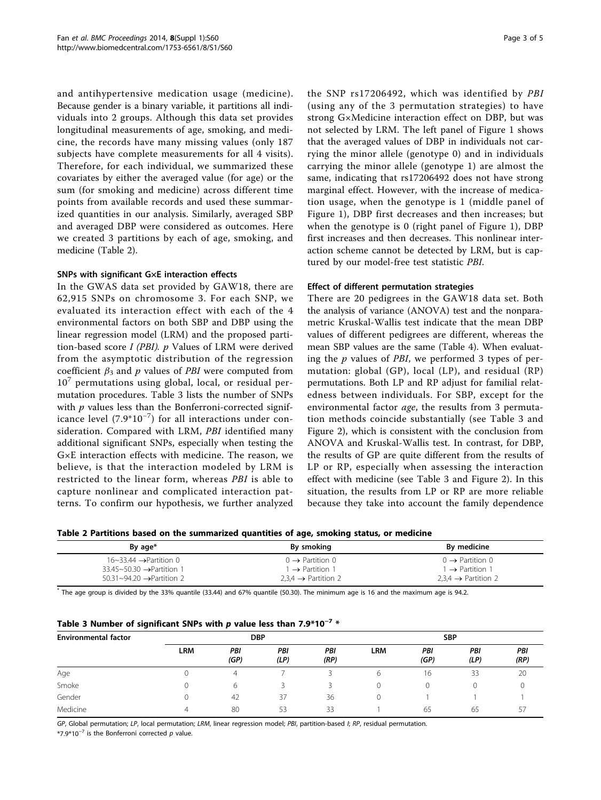and antihypertensive medication usage (medicine). Because gender is a binary variable, it partitions all individuals into 2 groups. Although this data set provides longitudinal measurements of age, smoking, and medicine, the records have many missing values (only 187 subjects have complete measurements for all 4 visits). Therefore, for each individual, we summarized these covariates by either the averaged value (for age) or the sum (for smoking and medicine) across different time points from available records and used these summarized quantities in our analysis. Similarly, averaged SBP and averaged DBP were considered as outcomes. Here we created 3 partitions by each of age, smoking, and medicine (Table 2).

#### SNPs with significant G×E interaction effects

In the GWAS data set provided by GAW18, there are 62,915 SNPs on chromosome 3. For each SNP, we evaluated its interaction effect with each of the 4 environmental factors on both SBP and DBP using the linear regression model (LRM) and the proposed partition-based score  $I$  (PBI).  $p$  Values of LRM were derived from the asymptotic distribution of the regression coefficient  $\beta_3$  and p values of PBI were computed from  $10<sup>7</sup>$  permutations using global, local, or residual permutation procedures. Table 3 lists the number of SNPs with  $p$  values less than the Bonferroni-corrected significance level (7.9\*10−<sup>7</sup> ) for all interactions under consideration. Compared with LRM, PBI identified many additional significant SNPs, especially when testing the G×E interaction effects with medicine. The reason, we believe, is that the interaction modeled by LRM is restricted to the linear form, whereas PBI is able to capture nonlinear and complicated interaction patterns. To confirm our hypothesis, we further analyzed the SNP rs17206492, which was identified by PBI (using any of the 3 permutation strategies) to have strong G×Medicine interaction effect on DBP, but was not selected by LRM. The left panel of Figure [1](#page-3-0) shows that the averaged values of DBP in individuals not carrying the minor allele (genotype 0) and in individuals carrying the minor allele (genotype 1) are almost the same, indicating that rs17206492 does not have strong marginal effect. However, with the increase of medication usage, when the genotype is 1 (middle panel of Figure [1\)](#page-3-0), DBP first decreases and then increases; but when the genotype is 0 (right panel of Figure [1](#page-3-0)), DBP first increases and then decreases. This nonlinear interaction scheme cannot be detected by LRM, but is captured by our model-free test statistic PBI.

### Effect of different permutation strategies

There are 20 pedigrees in the GAW18 data set. Both the analysis of variance (ANOVA) test and the nonparametric Kruskal-Wallis test indicate that the mean DBP values of different pedigrees are different, whereas the mean SBP values are the same (Table [4](#page-3-0)). When evaluating the  $p$  values of *PBI*, we performed 3 types of permutation: global (GP), local (LP), and residual (RP) permutations. Both LP and RP adjust for familial relatedness between individuals. For SBP, except for the environmental factor age, the results from 3 permutation methods coincide substantially (see Table 3 and Figure [2](#page-4-0)), which is consistent with the conclusion from ANOVA and Kruskal-Wallis test. In contrast, for DBP, the results of GP are quite different from the results of LP or RP, especially when assessing the interaction effect with medicine (see Table 3 and Figure [2](#page-4-0)). In this situation, the results from LP or RP are more reliable because they take into account the family dependence

Table 2 Partitions based on the summarized quantities of age, smoking status, or medicine

| By age*                                                                               | By smoking                                                 | By medicine                                                |
|---------------------------------------------------------------------------------------|------------------------------------------------------------|------------------------------------------------------------|
| $16 \sim 33.44 \rightarrow$ Partition 0<br>$33.45 \sim 50.30 \rightarrow$ Partition 1 | $0 \rightarrow$ Partition 0<br>$1 \rightarrow$ Partition 1 | $0 \rightarrow$ Partition 0<br>$1 \rightarrow$ Partition 1 |
| $50.31 \sim 94.20 \rightarrow$ Partition 2                                            | $2.3.4 \rightarrow$ Partition 2                            | $2.3.4 \rightarrow$ Partition 2                            |

\* The age group is divided by the 33% quantile (33.44) and 67% quantile (50.30). The minimum age is 16 and the maximum age is 94.2.

| Table 3 Number of significant SNPs with $p$ value less than 7.9*10 <sup>-7</sup> * |  |
|------------------------------------------------------------------------------------|--|
|------------------------------------------------------------------------------------|--|

| <b>Environmental factor</b> | <b>DBP</b> |                          |             | <b>SBP</b>  |            |             |             |             |
|-----------------------------|------------|--------------------------|-------------|-------------|------------|-------------|-------------|-------------|
|                             | <b>LRM</b> | PBI<br>(GP)              | PBI<br>(LP) | PBI<br>(RP) | <b>LRM</b> | PBI<br>(GP) | PBI<br>(LP) | PBI<br>(RP) |
| Age                         |            | $\overline{\mathcal{A}}$ |             |             | 6          | 16          | 33          | 20          |
| Smoke                       |            | 6                        |             |             |            |             |             |             |
| Gender                      |            | 42                       | 37          | 36          |            |             |             |             |
| Medicine                    | 4          | 80                       | 53          | 33          |            | 65          | 65          | 57          |

GP, Global permutation; LP, local permutation; LRM, linear regression model; PBI, partition-based I; RP, residual permutation.

\*7.9\*10<sup>-7</sup> is the Bonferroni corrected p value.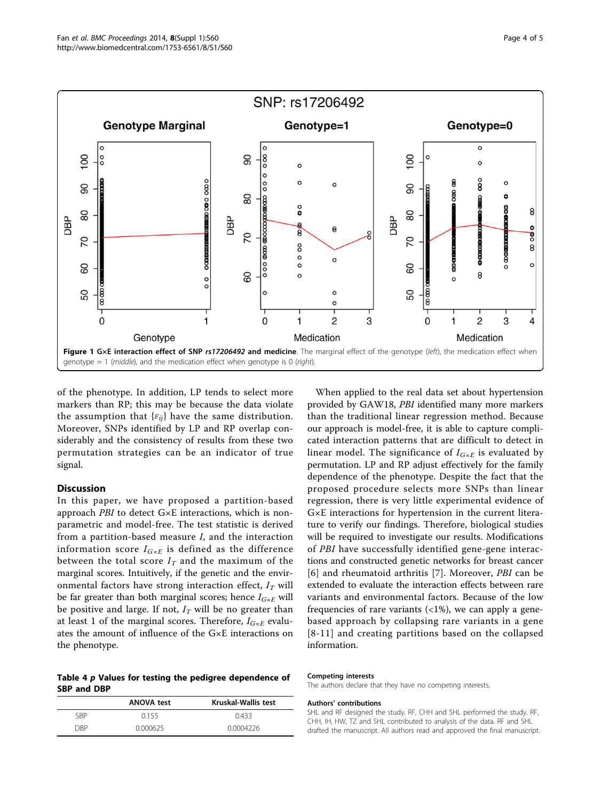<span id="page-3-0"></span>

of the phenotype. In addition, LP tends to select more markers than RP; this may be because the data violate the assumption that  $\{\varepsilon_{ij}\}$  have the same distribution. Moreover, SNPs identified by LP and RP overlap considerably and the consistency of results from these two permutation strategies can be an indicator of true signal.

#### Discussion

In this paper, we have proposed a partition-based approach PBI to detect G×E interactions, which is nonparametric and model-free. The test statistic is derived from a partition-based measure I, and the interaction information score  $I_{G\times E}$  is defined as the difference between the total score  $I_T$  and the maximum of the marginal scores. Intuitively, if the genetic and the environmental factors have strong interaction effect,  $I_T$  will be far greater than both marginal scores; hence  $I_{G\times E}$  will be positive and large. If not,  $I_T$  will be no greater than at least 1 of the marginal scores. Therefore,  $I_{G\times E}$  evaluates the amount of influence of the G×E interactions on the phenotype.

Table 4 p Values for testing the pedigree dependence of SBP and DBP

|            | <b>ANOVA test</b> | Kruskal-Wallis test |
|------------|-------------------|---------------------|
| SRP        | 0155              | 0433                |
| <b>DRP</b> | 0.000625          | 0.0004226           |

When applied to the real data set about hypertension provided by GAW18, PBI identified many more markers than the traditional linear regression method. Because our approach is model-free, it is able to capture complicated interaction patterns that are difficult to detect in linear model. The significance of  $I_{G \times E}$  is evaluated by permutation. LP and RP adjust effectively for the family dependence of the phenotype. Despite the fact that the proposed procedure selects more SNPs than linear regression, there is very little experimental evidence of G×E interactions for hypertension in the current literature to verify our findings. Therefore, biological studies will be required to investigate our results. Modifications of PBI have successfully identified gene-gene interactions and constructed genetic networks for breast cancer [[6](#page-4-0)] and rheumatoid arthritis [\[7](#page-4-0)]. Moreover, *PBI* can be extended to evaluate the interaction effects between rare variants and environmental factors. Because of the low frequencies of rare variants  $\left\langle \langle 1\% \rangle \right\rangle$ , we can apply a genebased approach by collapsing rare variants in a gene [[8](#page-4-0)-[11\]](#page-4-0) and creating partitions based on the collapsed information.

#### Competing interests

The authors declare that they have no competing interests.

#### Authors' contributions

SHL and RF designed the study. RF, CHH and SHL performed the study. RF, CHH, IH, HW, TZ and SHL contributed to analysis of the data. RF and SHL drafted the manuscript. All authors read and approved the final manuscript.